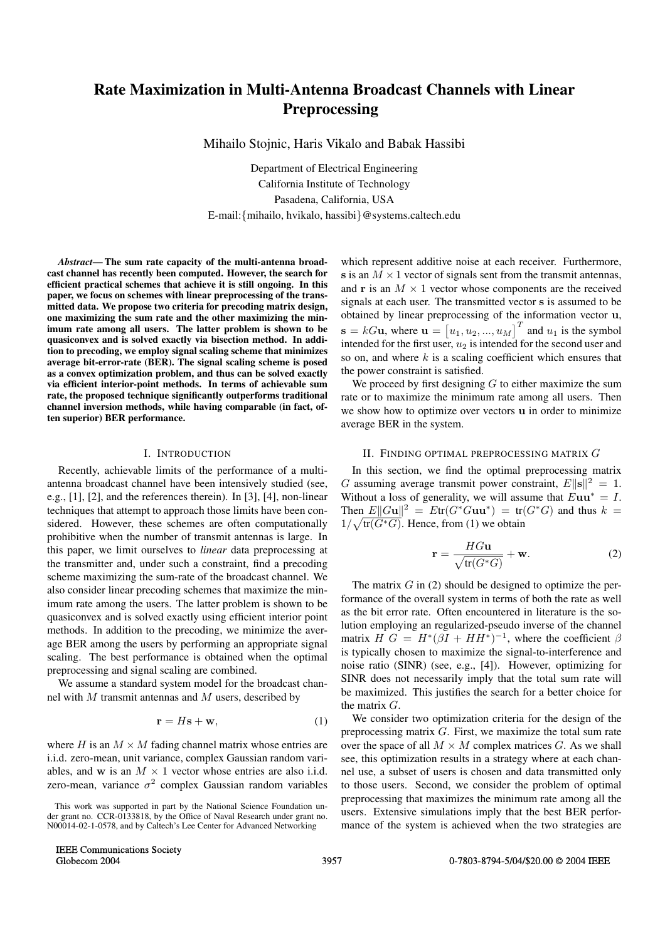# **Rate Maximization in Multi-Antenna Broadcast Channels with Linear Preprocessing**

Mihailo Stojnic, Haris Vikalo and Babak Hassibi

Department of Electrical Engineering California Institute of Technology Pasadena, California, USA E-mail:{mihailo, hvikalo, hassibi}@systems.caltech.edu

*Abstract***— The sum rate capacity of the multi-antenna broadcast channel has recently been computed. However, the search for efficient practical schemes that achieve it is still ongoing. In this paper, we focus on schemes with linear preprocessing of the transmitted data. We propose two criteria for precoding matrix design, one maximizing the sum rate and the other maximizing the minimum rate among all users. The latter problem is shown to be quasiconvex and is solved exactly via bisection method. In addition to precoding, we employ signal scaling scheme that minimizes average bit-error-rate (BER). The signal scaling scheme is posed as a convex optimization problem, and thus can be solved exactly via efficient interior-point methods. In terms of achievable sum rate, the proposed technique significantly outperforms traditional channel inversion methods, while having comparable (in fact, often superior) BER performance.**

#### I. INTRODUCTION

Recently, achievable limits of the performance of a multiantenna broadcast channel have been intensively studied (see, e.g., [1], [2], and the references therein). In [3], [4], non-linear techniques that attempt to approach those limits have been considered. However, these schemes are often computationally prohibitive when the number of transmit antennas is large. In this paper, we limit ourselves to *linear* data preprocessing at the transmitter and, under such a constraint, find a precoding scheme maximizing the sum-rate of the broadcast channel. We also consider linear precoding schemes that maximize the minimum rate among the users. The latter problem is shown to be quasiconvex and is solved exactly using efficient interior point methods. In addition to the precoding, we minimize the average BER among the users by performing an appropriate signal scaling. The best performance is obtained when the optimal preprocessing and signal scaling are combined.

We assume a standard system model for the broadcast channel with M transmit antennas and M users, described by

$$
\mathbf{r} = H\mathbf{s} + \mathbf{w},\tag{1}
$$

where H is an  $M \times M$  fading channel matrix whose entries are i.i.d. zero-mean, unit variance, complex Gaussian random variables, and **w** is an  $M \times 1$  vector whose entries are also i.i.d. zero-mean, variance  $\sigma^2$  complex Gaussian random variables

which represent additive noise at each receiver. Furthermore, **s** is an  $M \times 1$  vector of signals sent from the transmit antennas, and **r** is an  $M \times 1$  vector whose components are the received signals at each user. The transmitted vector **s** is assumed to be obtained by linear preprocessing of the information vector **u**,  $\mathbf{s} = kG\mathbf{u}$ , where  $\mathbf{u} = [u_1, u_2, ..., u_M]^T$  and  $u_1$  is the symbol<br>intended for the first user  $u_2$  is intended for the second user and  $u_1, u_2, ..., u_M$ <br>c  $u_2$  is intende intended for the first user,  $u_2$  is intended for the second user and<br>so on and where k is a scaling coefficient which ensures that so on, and where  $k$  is a scaling coefficient which ensures that the power constraint is satisfied.

We proceed by first designing  $G$  to either maximize the sum rate or to maximize the minimum rate among all users. Then we show how to optimize over vectors **u** in order to minimize average BER in the system.

## II. FINDING OPTIMAL PREPROCESSING MATRIX G

In this section, we find the optimal preprocessing matrix G assuming average transmit power constraint,  $E\|\mathbf{s}\|^2 = 1$ . Without a loss of generality, we will assume that  $Euu^* = I$ . Then  $E||Gu||^2 = Etr(G^*Guu^*) = tr(G^*G)$  and thus  $k =$  $1/\sqrt{\text{tr}(G^*G)}$ . Hence, from (1) we obtain

$$
\mathbf{r} = \frac{HG\mathbf{u}}{\sqrt{\text{tr}(G^*G)}} + \mathbf{w}.
$$
 (2)

The matrix  $G$  in (2) should be designed to optimize the performance of the overall system in terms of both the rate as well as the bit error rate. Often encountered in literature is the solution employing an regularized-pseudo inverse of the channel matrix  $H G = H^*(\beta I + HH^*)^{-1}$ , where the coefficient  $\beta$ is typically chosen to maximize the signal-to-interference and noise ratio (SINR) (see, e.g., [4]). However, optimizing for SINR does not necessarily imply that the total sum rate will be maximized. This justifies the search for a better choice for the matrix G.

We consider two optimization criteria for the design of the preprocessing matrix G. First, we maximize the total sum rate over the space of all  $M \times M$  complex matrices G. As we shall see, this optimization results in a strategy where at each channel use, a subset of users is chosen and data transmitted only to those users. Second, we consider the problem of optimal preprocessing that maximizes the minimum rate among all the users. Extensive simulations imply that the best BER performance of the system is achieved when the two strategies are

This work was supported in part by the National Science Foundation under grant no. CCR-0133818, by the Office of Naval Research under grant no. N00014-02-1-0578, and by Caltech's Lee Center for Advanced Networking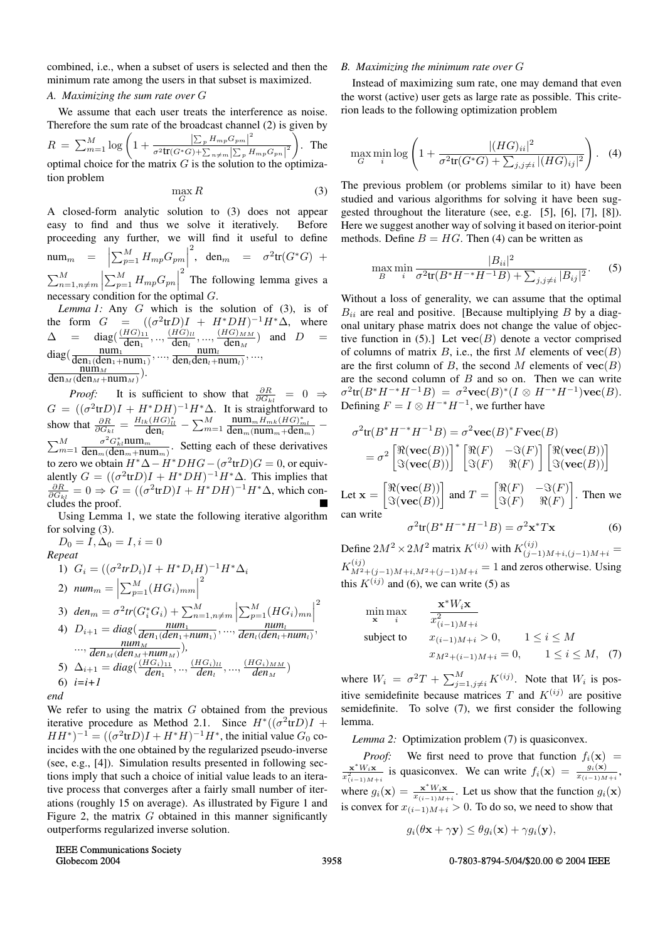combined, i.e., when a subset of users is selected and then the minimum rate among the users in that subset is maximized.

## *A. Maximizing the sum rate over* G

We assume that each user treats the interference as noise. Therefore the sum rate of the broadcast channel (2) is given by  $R = \sum_{m=1}^{M} \log \left( 1 + \frac{\left| \sum_{p} H_{mp} G_{pm} \right|^{2}}{\sigma^{2} \text{tr}(G^{*}G) + \sum_{n \neq m} \left| \sum_{p} E_{np} \right|} \right)$  $\frac{1}{\sigma^2 tr(G^*G) + \sum_{n \neq m} \left| \sum_{p} H_{mp} G_{pn} \right|^2}$  $\lambda$ . The optimal choice for the matrix  $G$  is the solution to the optimization problem

$$
\max_{G} R \tag{3}
$$

A closed-form analytic solution to (3) does not appear easy to find and thus we solve it iteratively. Before proceeding any further, we will find it useful to define  $\texttt{num}_m = \left[ \sum_{p=1}^M H_{mp} G_{pm} \right]$  <sup>2</sup>, den<sub>m</sub> =  $\sigma^2 \text{tr}(G^*G)$  +  $\sum_{n=1,n\neq m}^{M}$  $\left| \sum_{p=1}^{M} H_{mp} G_{pn} \right|$   $2<sup>2</sup>$  The following lemma gives a

necessary condition for the optimal  $G$ .<br>*Lemma 1*: Any  $G$  which is the solution of (3), is of *Lemma 1:* Any G which is the solution of (3), is of form  $G = ((\sigma^2 tr D)I + H^* D H)^{-1} H^* \Delta$  where the form  $G = ((\sigma^2 tr D)I + H^* D H)^{-1} H^* \Delta$ , where  $\Delta$  = diag( $\frac{(HG)_{11}}{den_1}, \dots, \frac{(HG)_{ll}}{den_l}, \dots, \frac{(HG)_{MM}}{den_M}$ ) and  $D$  =  $diag(\frac{num_1}{den_1(den_1+num_1)},...,\frac{num_l}{den_lden_l+num_l},...,\frac{num_l}{den_lden_l+num_l}),$  $\min_M$  $\frac{\text{min}_{M}}{\text{den}_{M}(\text{den}_{M}+\text{num}_{M})}.$ 

*Proof:* It is sufficient to show that  $\frac{\partial R}{\partial G_{kl}} = 0 \Rightarrow$  $G = ((\sigma^2 \text{tr} D)I + H^*DH)^{-1}H^* \Delta$ . It is straightforward to<br>show that  $\frac{\partial R}{\partial G_{kl}} = \frac{H_{lk}(HG)^*_{ll}}{\text{den}_l} - \sum_{m=1}^M \frac{\text{num}_m H_{mk}(HG)^*_{ml}}{\text{den}_m(\text{num}_m + \text{den}_m)} \frac{num_mH_{mk}(HG)^{*}_{ml}}{den_m(num_m+den_m)}$  −  $\sum_{m=1}^{M}$  $\frac{\sigma^2 G_{kl}^* \text{num}_m}{\sigma^2 G_{kl}^*}$  $\frac{\partial G_{kl}$ mum<sub>*m*</sub></sup>. Setting each of these derivatives to zero we obtain  $H^*∆ - H^*DHG - (σ^2trD)G = 0$ , or equivalently  $G = ((\sigma^2 tr D)I + H^* D H)^{-1} H^* \Delta$ . This implies that  $\frac{\partial R}{\partial G_{kl}} = 0 \Rightarrow G = ((\sigma^2 tr D)I + H^* DH)^{-1} H^* \Delta$ , which con-<br>cludes the proof cludes the proof.

Using Lemma 1, we state the following iterative algorithm for solving (3).

 $D_0 = I, \Delta_0 = I, i = 0$ 

*Repeat*

*end*

1) 
$$
G_i = ((\sigma^2 tr D_i)I + H^* D_i H)^{-1} H^* \Delta_i
$$
  
\n2) 
$$
num_m = \left| \sum_{p=1}^M (HG_i)_{mm} \right|^2
$$
  
\n3) 
$$
den_m = \sigma^2 tr(G_i^* G_i) + \sum_{n=1, n \neq m}^M \left| \sum_{p=1}^M (HG_i)_{mn} \right|^2
$$
  
\n4) 
$$
D_{i+1} = diag(\frac{num_1}{den_1(den_1 + num_1)}, \dots, \frac{num_i}{den_i(den_i + num_i)}, \dots, \frac{num_i}{den_M(den_M + num_M)})
$$
  
\n5) 
$$
\Delta_{i+1} = diag(\frac{(HG_i)_{11}}{den_1}, \dots, \frac{(HG_i)_{M}}{den_l}, \dots, \frac{(HG_i)_{MM}}{den_M})
$$
  
\n6) 
$$
i = i + 1
$$
  
\n6) 
$$
i = i + 1
$$

We refer to using the matrix  $G$  obtained from the previous iterative procedure as Method 2.1. Since  $H^*((\sigma^2 tr D)I +$  $HH^*)^{-1} = ((\sigma^2 tr D)I + H^*H)^{-1}H^*$ , the initial value  $G_0$  coincides with the one obtained by the regularized pseudo-inverse (see, e.g., [4]). Simulation results presented in following sections imply that such a choice of initial value leads to an iterative process that converges after a fairly small number of iterations (roughly 15 on average). As illustrated by Figure 1 and Figure 2, the matrix  $G$  obtained in this manner significantly outperforms regularized inverse solution.

### *B. Maximizing the minimum rate over* G

Instead of maximizing sum rate, one may demand that even the worst (active) user gets as large rate as possible. This criterion leads to the following optimization problem

$$
\max_{G} \min_{i} \log \left( 1 + \frac{|(HG)_{ii}|^2}{\sigma^2 \text{tr}(G^*G) + \sum_{j,j \neq i} |(HG)_{ij}|^2} \right). \tag{4}
$$

The previous problem (or problems similar to it) have been studied and various algorithms for solving it have been suggested throughout the literature (see, e.g. [5], [6], [7], [8]). Here we suggest another way of solving it based on iterior-point methods. Define  $B = HG$ . Then (4) can be written as

$$
\max_{B} \min_{i} \frac{|B_{ii}|^2}{\sigma^2 \text{tr}(B^* H^{-*} H^{-1} B) + \sum_{j,j \neq i} |B_{ij}|^2}.
$$
 (5)

Without a loss of generality, we can assume that the optimal  $B_{ii}$  are real and positive. [Because multiplying B by a diagonal unitary phase matrix does not change the value of objective function in (5).] Let  $\text{vec}(B)$  denote a vector comprised of columns of matrix  $B$ , i.e., the first  $M$  elements of **vec** $(B)$ are the first column of B, the second M elements of  $\text{vec}(B)$ are the second column of  $B$  and so on. Then we can write  $\sigma^2$ tr( $B^*H^{-*}H^{-1}B$ ) =  $\sigma^2$ **vec**( $B$ )<sup>\*</sup>( $I \otimes H^{-*}H^{-1}$ )**vec**( $B$ ). Defining  $F = I \otimes H^{-*}H^{-1}$ , we further have

$$
\sigma^{2} \text{tr}(B^* H^{-*} H^{-1} B) = \sigma^{2} \text{vec}(B)^* F \text{vec}(B)
$$

$$
= \sigma^{2} \begin{bmatrix} \Re(\text{vec}(B)) \\ \Im(\text{vec}(B)) \end{bmatrix}^{*} \begin{bmatrix} \Re(F) & -\Im(F) \\ \Im(F) & \Re(F) \end{bmatrix} \begin{bmatrix} \Re(\text{vec}(B)) \\ \Im(\text{vec}(B)) \end{bmatrix}
$$

$$
\mathbb{E}[\Re(\text{vec}(B))] = \mathbb{E}[F] = \begin{bmatrix} \Re(F) & -\Im(F) \end{bmatrix} \begin{bmatrix} \Re(\text{vec}(B)) \\ \Im(\text{vec}(B)) \end{bmatrix}
$$

Let  $\mathbf{x} =$  $\left[\begin{matrix} \Re(\mathbf{vec}(B)) \\ \Im(\mathbf{vec}(B)) \end{matrix}\right]$  and  $T =$  $\begin{bmatrix} \Re(F) & -\Im(F) \\ \Im(F) & \Re(F) \end{bmatrix}$  $\Im(F)$   $\Re(F)$ . Then we can write

$$
\sigma^2 \text{tr}(B^* H^{-*} H^{-1} B) = \sigma^2 \mathbf{x}^* T \mathbf{x}
$$
 (6)

Define  $2M^2 \times 2M^2$  matrix  $K^{(ij)}$  with  $K^{(ij)}_{(j)}$  $K_{(j+1)M+i,(j-1)M+i}^{(i,j)}$ <br>  $K_{M^2+(j-1)M+i,M^2+(j-1)M+i}^{(i,j)}$  = 1 and zeros otherwise. Using this  $K^{(ij)}$  and (6), we can write (5) as

$$
\min_{\mathbf{x}} \max_{i} \quad \frac{\mathbf{x}^* W_i \mathbf{x}}{x_{(i-1)M+i}^2}
$$
\n
$$
\text{subject to} \quad x_{(i-1)M+i} > 0, \quad 1 \le i \le M
$$
\n
$$
x_{M^2 + (i-1)M+i} = 0, \quad 1 \le i \le M, \quad (7)
$$

where  $W_i = \sigma^2 T + \sum_{j=1, j\neq i}^M K^{(ij)}$ . Note that  $W_i$  is positive semidefinite because matrices  $T$  and  $K^{(ij)}$  are positive semidefinite. To solve (7), we first consider the following lemma.

*Lemma 2:* Optimization problem (7) is quasiconvex.

*Proof:* We first need to prove that function  $f_i(\mathbf{x}) = \frac{\mathbf{x}^*W_i\mathbf{x}}{x_{(i-1)M+i}^2}$  is quasiconvex. We can write  $f_i(\mathbf{x}) = \frac{g_i(\mathbf{x})}{x_{(i-1)M+i}},$ , where  $g_i(\mathbf{x}) = \frac{\mathbf{x}^* W_i \mathbf{x}}{x_{(i-1)M+i}}$ . Let us show that the function  $g_i(\mathbf{x})$ is convex for  $x_{(i-1)M+i}$  > 0. To do so, we need to show that

$$
g_i(\theta \mathbf{x} + \gamma \mathbf{y}) \leq \theta g_i(\mathbf{x}) + \gamma g_i(\mathbf{y}),
$$

IEEE Communications Society

## Globecom 2004 3958 0-7803-8794-5/04/\$20.00 © 2004 IEEE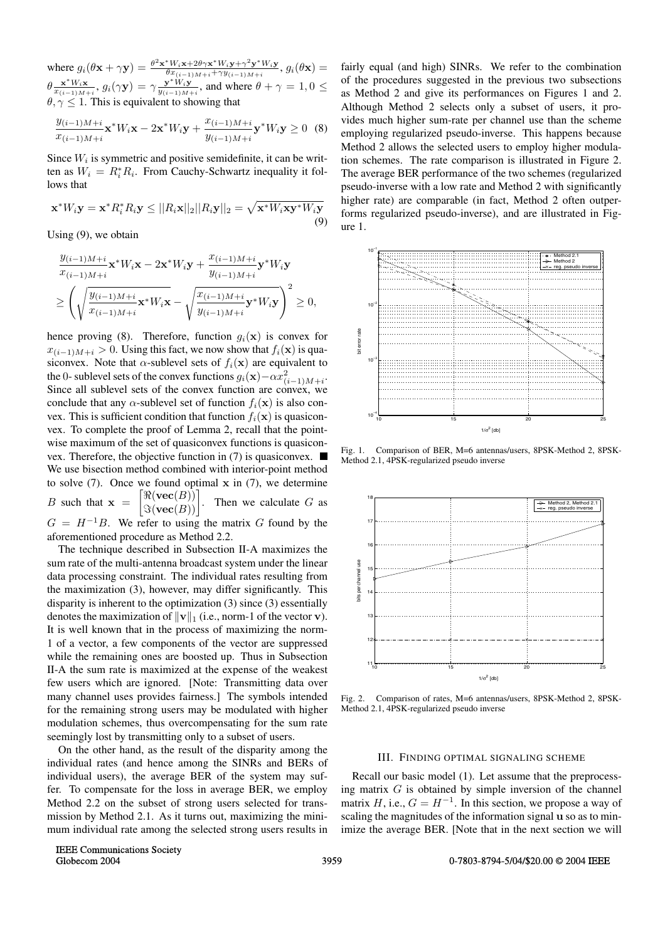where  $g_i(\theta \mathbf{x} + \gamma \mathbf{y}) = \frac{\theta^2 \mathbf{x}^* W_i \mathbf{x} + 2\theta \gamma \mathbf{x}^* W_i \mathbf{y} + \gamma^2 \mathbf{y}^* W_i \mathbf{y}}{\theta x_{(i-1)M+i} + \gamma y_{(i-1)M+i}}$ ,  $g_i(\theta \mathbf{x}) =$  $\theta \frac{\mathbf{x}^* W_i \mathbf{x}}{w_{(i-1)M+i}}$ ,  $g_i(\gamma \mathbf{y}) = \gamma \frac{\mathbf{y}^* W_i \mathbf{y}}{y_{(i-1)M+i}}$ , and where  $\theta + \gamma = 1, 0 \le \theta$  $\theta, \gamma \leq 1$ . This is equivalent to showing that

$$
\frac{y_{(i-1)M+i}}{x_{(i-1)M+i}} \mathbf{x}^* W_i \mathbf{x} - 2\mathbf{x}^* W_i \mathbf{y} + \frac{x_{(i-1)M+i}}{y_{(i-1)M+i}} \mathbf{y}^* W_i \mathbf{y} \ge 0
$$
 (8)

Since  $W_i$  is symmetric and positive semidefinite, it can be written as  $W_i = R_i^* R_i$ . From Cauchy-Schwartz inequality it fol-<br>lows that lows that

$$
\mathbf{x}^* W_i \mathbf{y} = \mathbf{x}^* R_i^* R_i \mathbf{y} \le ||R_i \mathbf{x}||_2 ||R_i \mathbf{y}||_2 = \sqrt{\mathbf{x}^* W_i \mathbf{x} \mathbf{y}^* W_i \mathbf{y}}
$$
(9)

Using (9), we obtain

$$
\frac{y_{(i-1)M+i}}{x_{(i-1)M+i}} \mathbf{x}^* W_i \mathbf{x} - 2 \mathbf{x}^* W_i \mathbf{y} + \frac{x_{(i-1)M+i}}{y_{(i-1)M+i}} \mathbf{y}^* W_i \mathbf{y}
$$
\n
$$
\geq \left( \sqrt{\frac{y_{(i-1)M+i}}{x_{(i-1)M+i}}} \mathbf{x}^* W_i \mathbf{x} - \sqrt{\frac{x_{(i-1)M+i}}{y_{(i-1)M+i}}} \mathbf{y}^* W_i \mathbf{y} \right)^2 \geq 0,
$$

hence proving (8). Therefore, function  $g_i(\mathbf{x})$  is convex for  $x_{(i-1)M+i} > 0$ . Using this fact, we now show that  $f_i(\mathbf{x})$  is quasiconvex. Note that  $\alpha$ -sublevel sets of  $f_i(\mathbf{x})$  are equivalent to the 0- sublevel sets of the convex functions  $g_i(\mathbf{x}) - \alpha x_{(i-1)M+i}^2$ .<br>Since all sublevel sets of the convex function are convex we Since all sublevel sets of the convex function are convex, we conclude that any  $\alpha$ -sublevel set of function  $f_i(\mathbf{x})$  is also convex. This is sufficient condition that function  $f_i(\mathbf{x})$  is quasiconvex. To complete the proof of Lemma 2, recall that the pointwise maximum of the set of quasiconvex functions is quasiconvex. Therefore, the objective function in (7) is quasiconvex.  $\blacksquare$ We use bisection method combined with interior-point method to solve (7). Once we found optimal **x** in (7), we determine B such that  $\mathbf{x}$  =  $\left[\begin{matrix} \Re(\textbf{vec}(B)) \\ \Im(\textbf{vec}(B)) \end{matrix}\right]$  $\Im(\textbf{vec}(B))$ Then we calculate  $G$  as  $G = H^{-1}B$ . We refer to using the matrix G found by the aforementioned procedure as Method 2.2.

The technique described in Subsection II-A maximizes the sum rate of the multi-antenna broadcast system under the linear data processing constraint. The individual rates resulting from the maximization (3), however, may differ significantly. This disparity is inherent to the optimization (3) since (3) essentially denotes the maximization of  $\|\mathbf{v}\|_1$  (i.e., norm-1 of the vector **v**). It is well known that in the process of maximizing the norm-1 of a vector, a few components of the vector are suppressed while the remaining ones are boosted up. Thus in Subsection II-A the sum rate is maximized at the expense of the weakest few users which are ignored. [Note: Transmitting data over many channel uses provides fairness.] The symbols intended for the remaining strong users may be modulated with higher modulation schemes, thus overcompensating for the sum rate seemingly lost by transmitting only to a subset of users.

On the other hand, as the result of the disparity among the individual rates (and hence among the SINRs and BERs of individual users), the average BER of the system may suffer. To compensate for the loss in average BER, we employ Method 2.2 on the subset of strong users selected for transmission by Method 2.1. As it turns out, maximizing the minimum individual rate among the selected strong users results in fairly equal (and high) SINRs. We refer to the combination of the procedures suggested in the previous two subsections as Method 2 and give its performances on Figures 1 and 2. Although Method 2 selects only a subset of users, it provides much higher sum-rate per channel use than the scheme employing regularized pseudo-inverse. This happens because Method 2 allows the selected users to employ higher modulation schemes. The rate comparison is illustrated in Figure 2. The average BER performance of the two schemes (regularized pseudo-inverse with a low rate and Method 2 with significantly higher rate) are comparable (in fact, Method 2 often outperforms regularized pseudo-inverse), and are illustrated in Figure 1.



Fig. 1. Comparison of BER, M=6 antennas/users, 8PSK-Method 2, 8PSK-Method 2.1, 4PSK-regularized pseudo inverse



Fig. 2. Comparison of rates, M=6 antennas/users, 8PSK-Method 2, 8PSK-Method 2.1, 4PSK-regularized pseudo inverse

#### III. FINDING OPTIMAL SIGNALING SCHEME

Recall our basic model (1). Let assume that the preprocessing matrix  $G$  is obtained by simple inversion of the channel matrix H, i.e.,  $G = H^{-1}$ . In this section, we propose a way of scaling the magnitudes of the information signal **u** so as to minimize the average BER. [Note that in the next section we will

IEEE Communications Society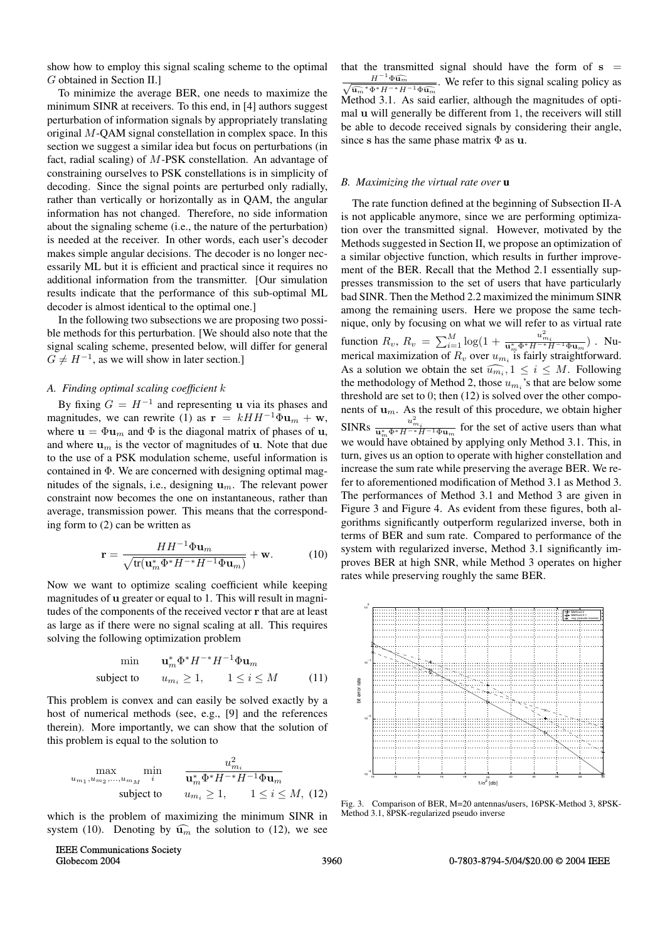show how to employ this signal scaling scheme to the optimal G obtained in Section II.]

To minimize the average BER, one needs to maximize the minimum SINR at receivers. To this end, in [4] authors suggest perturbation of information signals by appropriately translating original M-QAM signal constellation in complex space. In this section we suggest a similar idea but focus on perturbations (in fact, radial scaling) of M-PSK constellation. An advantage of constraining ourselves to PSK constellations is in simplicity of decoding. Since the signal points are perturbed only radially, rather than vertically or horizontally as in QAM, the angular information has not changed. Therefore, no side information about the signaling scheme (i.e., the nature of the perturbation) is needed at the receiver. In other words, each user's decoder makes simple angular decisions. The decoder is no longer necessarily ML but it is efficient and practical since it requires no additional information from the transmitter. [Our simulation results indicate that the performance of this sub-optimal ML decoder is almost identical to the optimal one.]

In the following two subsections we are proposing two possible methods for this perturbation. [We should also note that the signal scaling scheme, presented below, will differ for general  $G \neq H^{-1}$ , as we will show in later section.]

## *A. Finding optimal scaling coefficient* k

By fixing  $G = H^{-1}$  and representing **u** via its phases and magnitudes, we can rewrite (1) as  $\mathbf{r} = kHH^{-1}\Phi\mathbf{u}_m + \mathbf{w}$ , where  $\mathbf{u} = \Phi \mathbf{u}_m$  and  $\Phi$  is the diagonal matrix of phases of **u**, and where  $\mathbf{u}_m$  is the vector of magnitudes of  $\mathbf{u}$ . Note that due to the use of a PSK modulation scheme, useful information is contained in  $\Phi$ . We are concerned with designing optimal magnitudes of the signals, i.e., designing **<sup>u</sup>**m. The relevant power constraint now becomes the one on instantaneous, rather than average, transmission power. This means that the corresponding form to (2) can be written as

$$
\mathbf{r} = \frac{HH^{-1}\Phi\mathbf{u}_m}{\sqrt{\text{tr}(\mathbf{u}_m^*\Phi^*H^{-*}H^{-1}\Phi\mathbf{u}_m)}} + \mathbf{w}.
$$
 (10)

Now we want to optimize scaling coefficient while keeping magnitudes of **u** greater or equal to 1. This will result in magnitudes of the components of the received vector **r** that are at least as large as if there were no signal scaling at all. This requires solving the following optimization problem

$$
\min \qquad \mathbf{u}_m^* \Phi^* H^{-*} H^{-1} \Phi \mathbf{u}_m
$$
\n
$$
\text{subject to} \qquad u_{m_i} \ge 1, \qquad 1 \le i \le M \tag{11}
$$

This problem is convex and can easily be solved exactly by a host of numerical methods (see, e.g., [9] and the references therein). More importantly, we can show that the solution of this problem is equal to the solution to

$$
\begin{array}{ll}\n\max_{u_{m_1}, u_{m_2}, \ldots, u_{m_M}} \min_{i} & \frac{u_{m_i}^2}{\mathbf{u}_m^* \Phi^* H^{-*} H^{-1} \Phi \mathbf{u}_m} \\
\text{subject to} & u_{m_i} \ge 1, \quad 1 \le i \le M,\ (12)\n\end{array}
$$

which is the problem of maximizing the minimum SINR in system (10). Denoting by  $\widehat{\mathbf{u}_m}$  the solution to (12), we see

that the transmitted signal should have the form of **s** =  $\frac{H^{-1}\Phi\widehat{\mathbf{u}_m}}{\sqrt{m}}$ . We refer to this signal scaling policy as  $\frac{H^2 \Phi u_m}{\hat{u}_m * H^{-\epsilon} H^{-1} \Phi \hat{u}_m}$ . We refer to this signal scaling policy as  $\hat{u}_m * H^{-\epsilon} H^{-1} \Phi \hat{u}_m$ . Method 3.1. As said earlier, although the magnitudes of optimal **<sup>u</sup>** will generally be different from 1, the receivers will still be able to decode received signals by considering their angle, since **<sup>s</sup>** has the same phase matrix Φ as **<sup>u</sup>**.

#### *B. Maximizing the virtual rate over* **u**

The rate function defined at the beginning of Subsection II-A is not applicable anymore, since we are performing optimization over the transmitted signal. However, motivated by the Methods suggested in Section II, we propose an optimization of a similar objective function, which results in further improvement of the BER. Recall that the Method 2.1 essentially suppresses transmission to the set of users that have particularly bad SINR. Then the Method 2.2 maximized the minimum SINR among the remaining users. Here we propose the same technique, only by focusing on what we will refer to as virtual rate function  $R_v$ ,  $R_v = \sum_{i=1}^{M} \log(1 + \frac{u_{mi}^2}{\mathbf{u}_m^* \Phi^* H^{-*} H^{-1} \Phi \mathbf{u}_m})$ . Numerical maximization of  $R_v$  over  $u_{m_i}$  is fairly straightforward. As a solution we obtain the set  $\widehat{u_{m_i}}$ ,  $1 \leq i \leq M$ . Following the methodology of Method 2, those  $u_{m_i}$ 's that are below some threshold are set to 0; then (12) is solved over the other components of  $\mathbf{u}_m$ . As the result of this procedure, we obtain higher SINRs  $\frac{u_{m_i}^2}{\mathbf{u}_m^* \Phi^* H^{-*} H^{-1} \Phi \mathbf{u}_m}$  for the set of active users than what we would have obtained by applying only Method 3.1. This, in turn, gives us an option to operate with higher constellation and increase the sum rate while preserving the average BER. We refer to aforementioned modification of Method 3.1 as Method 3. The performances of Method 3.1 and Method 3 are given in Figure 3 and Figure 4. As evident from these figures, both algorithms significantly outperform regularized inverse, both in terms of BER and sum rate. Compared to performance of the system with regularized inverse, Method 3.1 significantly improves BER at high SNR, while Method 3 operates on higher rates while preserving roughly the same BER.



Fig. 3. Comparison of BER, M=20 antennas/users, 16PSK-Method 3, 8PSK-Method 3.1, 8PSK-regularized pseudo inverse

IEEE Communications Society